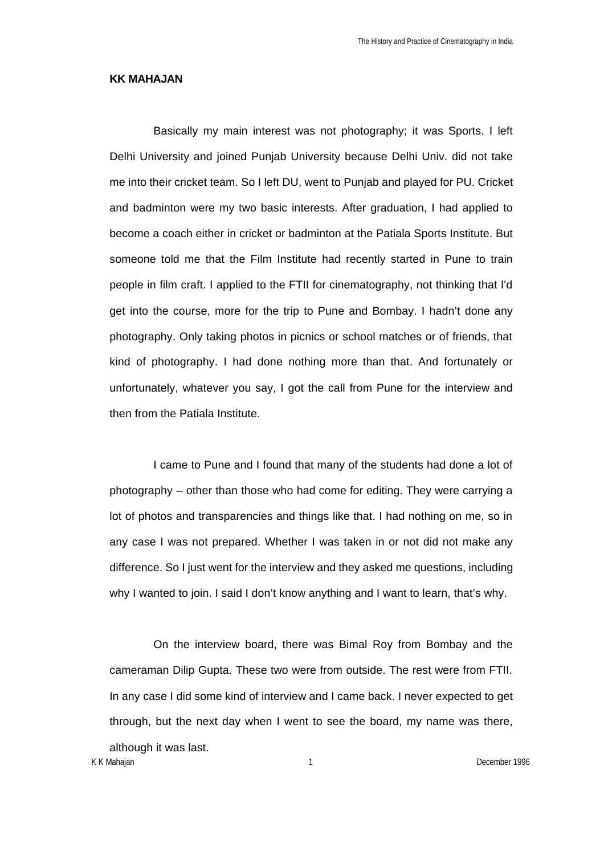## **KK MAHAJAN**

Basically my main interest was not photography; it was Sports. I left Delhi University and joined Punjab University because Delhi Univ. did not take me into their cricket team. So I left DU, went to Punjab and played for PU. Cricket and badminton were my two basic interests. After graduation, I had applied to become a coach either in cricket or badminton at the Patiala Sports Institute. But someone told me that the Film Institute had recently started in Pune to train people in film craft. I applied to the FTII for cinematography, not thinking that I'd get into the course, more for the trip to Pune and Bombay. I hadn't done any photography. Only taking photos in picnics or school matches or of friends, that kind of photography. I had done nothing more than that. And fortunately or unfortunately, whatever you say, I got the call from Pune for the interview and then from the Patiala Institute.

I came to Pune and I found that many of the students had done a lot of photography – other than those who had come for editing. They were carrying a lot of photos and transparencies and things like that. I had nothing on me, so in any case I was not prepared. Whether I was taken in or not did not make any difference. So I just went for the interview and they asked me questions, including why I wanted to join. I said I don't know anything and I want to learn, that's why.

On the interview board, there was Bimal Roy from Bombay and the cameraman Dilip Gupta. These two were from outside. The rest were from FTII. In any case I did some kind of interview and I came back. I never expected to get through, but the next day when I went to see the board, my name was there, although it was last.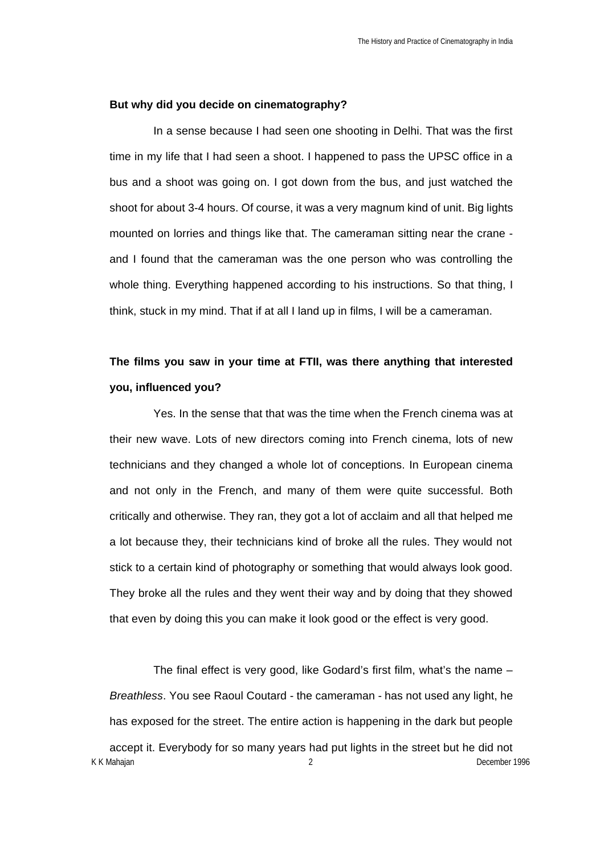## **But why did you decide on cinematography?**

In a sense because I had seen one shooting in Delhi. That was the first time in my life that I had seen a shoot. I happened to pass the UPSC office in a bus and a shoot was going on. I got down from the bus, and just watched the shoot for about 3-4 hours. Of course, it was a very magnum kind of unit. Big lights mounted on lorries and things like that. The cameraman sitting near the crane and I found that the cameraman was the one person who was controlling the whole thing. Everything happened according to his instructions. So that thing, I think, stuck in my mind. That if at all I land up in films, I will be a cameraman.

# **The films you saw in your time at FTII, was there anything that interested you, influenced you?**

Yes. In the sense that that was the time when the French cinema was at their new wave. Lots of new directors coming into French cinema, lots of new technicians and they changed a whole lot of conceptions. In European cinema and not only in the French, and many of them were quite successful. Both critically and otherwise. They ran, they got a lot of acclaim and all that helped me a lot because they, their technicians kind of broke all the rules. They would not stick to a certain kind of photography or something that would always look good. They broke all the rules and they went their way and by doing that they showed that even by doing this you can make it look good or the effect is very good.

K K Mahajan 2 December 1996 The final effect is very good, like Godard's first film, what's the name – *Breathless*. You see Raoul Coutard - the cameraman - has not used any light, he has exposed for the street. The entire action is happening in the dark but people accept it. Everybody for so many years had put lights in the street but he did not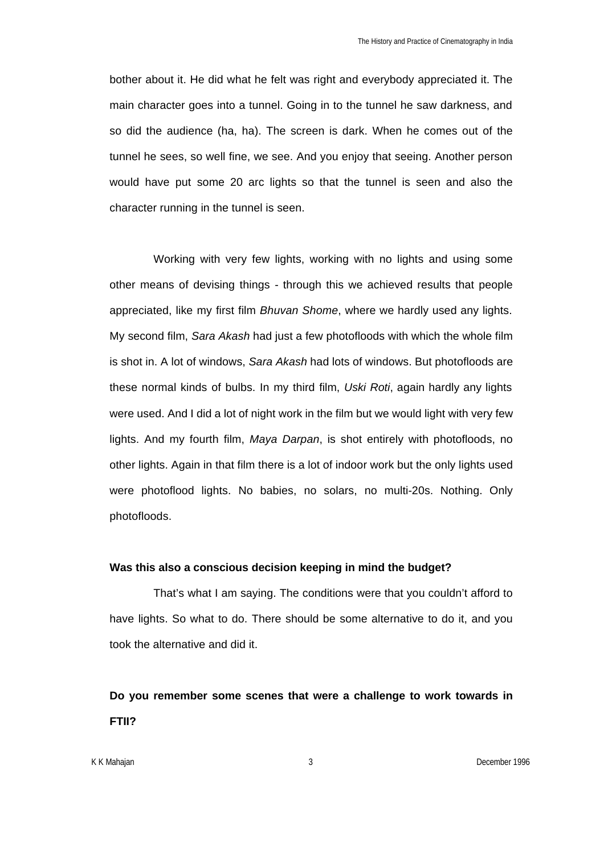bother about it. He did what he felt was right and everybody appreciated it. The main character goes into a tunnel. Going in to the tunnel he saw darkness, and so did the audience (ha, ha). The screen is dark. When he comes out of the tunnel he sees, so well fine, we see. And you enjoy that seeing. Another person would have put some 20 arc lights so that the tunnel is seen and also the character running in the tunnel is seen.

Working with very few lights, working with no lights and using some other means of devising things - through this we achieved results that people appreciated, like my first film *Bhuvan Shome*, where we hardly used any lights. My second film, *Sara Akash* had just a few photofloods with which the whole film is shot in. A lot of windows, *Sara Akash* had lots of windows. But photofloods are these normal kinds of bulbs. In my third film, *Uski Roti*, again hardly any lights were used. And I did a lot of night work in the film but we would light with very few lights. And my fourth film, *Maya Darpan*, is shot entirely with photofloods, no other lights. Again in that film there is a lot of indoor work but the only lights used were photoflood lights. No babies, no solars, no multi-20s. Nothing. Only photofloods.

#### **Was this also a conscious decision keeping in mind the budget?**

That's what I am saying. The conditions were that you couldn't afford to have lights. So what to do. There should be some alternative to do it, and you took the alternative and did it.

**Do you remember some scenes that were a challenge to work towards in FTII?**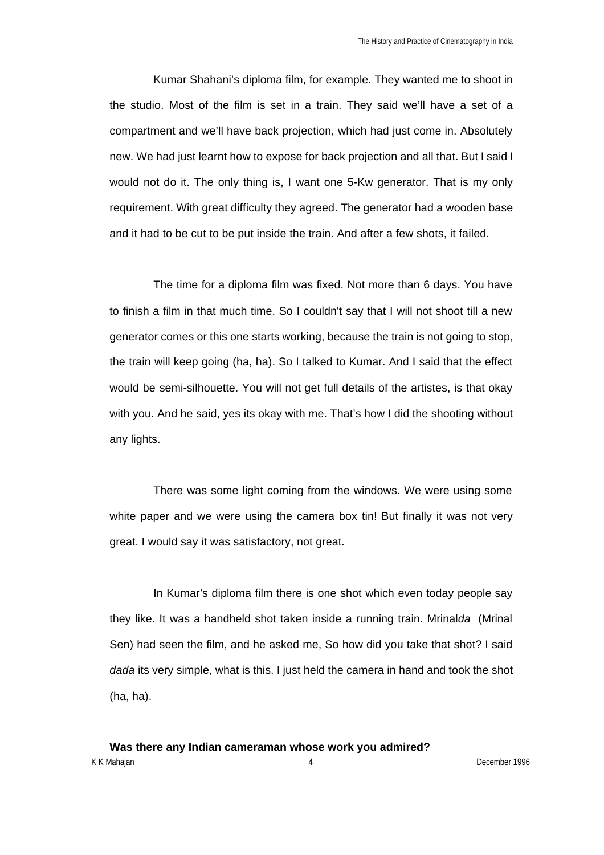Kumar Shahani's diploma film, for example. They wanted me to shoot in the studio. Most of the film is set in a train. They said we'll have a set of a compartment and we'll have back projection, which had just come in. Absolutely new. We had just learnt how to expose for back projection and all that. But I said I would not do it. The only thing is, I want one 5-Kw generator. That is my only requirement. With great difficulty they agreed. The generator had a wooden base and it had to be cut to be put inside the train. And after a few shots, it failed.

The time for a diploma film was fixed. Not more than 6 days. You have to finish a film in that much time. So I couldn't say that I will not shoot till a new generator comes or this one starts working, because the train is not going to stop, the train will keep going (ha, ha). So I talked to Kumar. And I said that the effect would be semi-silhouette. You will not get full details of the artistes, is that okay with you. And he said, yes its okay with me. That's how I did the shooting without any lights.

There was some light coming from the windows. We were using some white paper and we were using the camera box tin! But finally it was not very great. I would say it was satisfactory, not great.

In Kumar's diploma film there is one shot which even today people say they like. It was a handheld shot taken inside a running train. Mrinal*da* (Mrinal Sen) had seen the film, and he asked me, So how did you take that shot? I said *dada* its very simple, what is this. I just held the camera in hand and took the shot (ha, ha).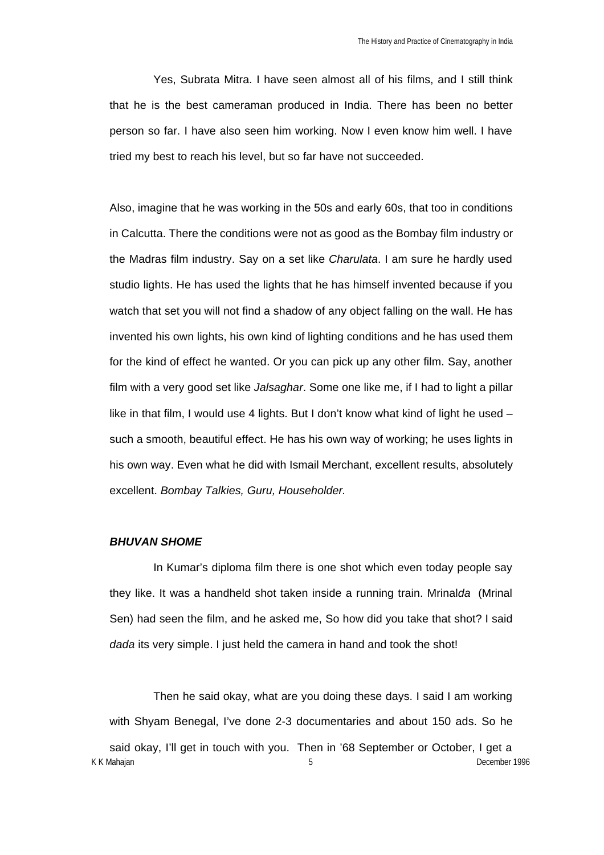Yes, Subrata Mitra. I have seen almost all of his films, and I still think that he is the best cameraman produced in India. There has been no better person so far. I have also seen him working. Now I even know him well. I have tried my best to reach his level, but so far have not succeeded.

Also, imagine that he was working in the 50s and early 60s, that too in conditions in Calcutta. There the conditions were not as good as the Bombay film industry or the Madras film industry. Say on a set like *Charulata*. I am sure he hardly used studio lights. He has used the lights that he has himself invented because if you watch that set you will not find a shadow of any object falling on the wall. He has invented his own lights, his own kind of lighting conditions and he has used them for the kind of effect he wanted. Or you can pick up any other film. Say, another film with a very good set like *Jalsaghar*. Some one like me, if I had to light a pillar like in that film, I would use 4 lights. But I don't know what kind of light he used – such a smooth, beautiful effect. He has his own way of working; he uses lights in his own way. Even what he did with Ismail Merchant, excellent results, absolutely excellent. *Bombay Talkies, Guru, Householder.*

#### *BHUVAN SHOME*

In Kumar's diploma film there is one shot which even today people say they like. It was a handheld shot taken inside a running train. Mrinal*da* (Mrinal Sen) had seen the film, and he asked me, So how did you take that shot? I said *dada* its very simple. I just held the camera in hand and took the shot!

K K Mahajan 5 December 1996 Then he said okay, what are you doing these days. I said I am working with Shyam Benegal, I've done 2-3 documentaries and about 150 ads. So he said okay, I'll get in touch with you. Then in '68 September or October, I get a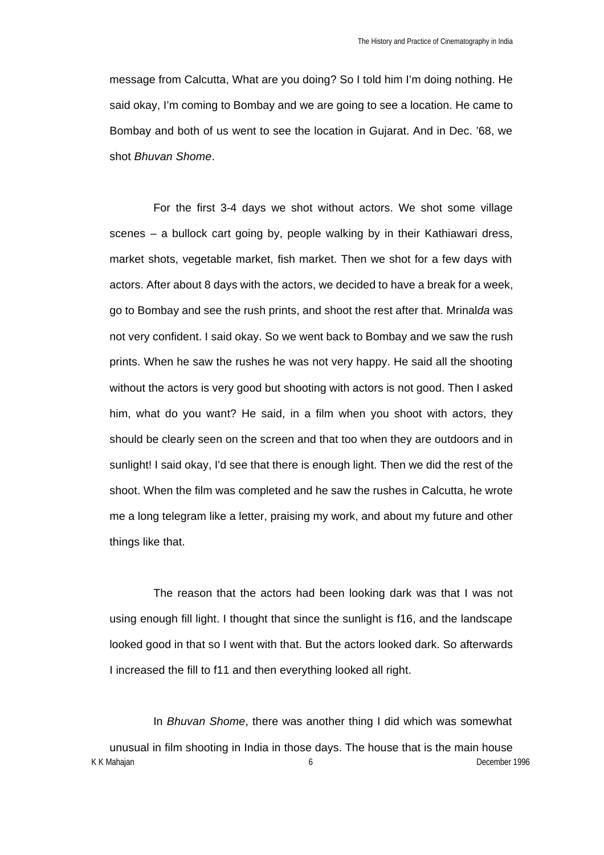message from Calcutta, What are you doing? So I told him I'm doing nothing. He said okay, I'm coming to Bombay and we are going to see a location. He came to Bombay and both of us went to see the location in Gujarat. And in Dec. '68, we shot *Bhuvan Shome*.

For the first 3-4 days we shot without actors. We shot some village scenes – a bullock cart going by, people walking by in their Kathiawari dress, market shots, vegetable market, fish market. Then we shot for a few days with actors. After about 8 days with the actors, we decided to have a break for a week, go to Bombay and see the rush prints, and shoot the rest after that. Mrinal*da* was not very confident. I said okay. So we went back to Bombay and we saw the rush prints. When he saw the rushes he was not very happy. He said all the shooting without the actors is very good but shooting with actors is not good. Then I asked him, what do you want? He said, in a film when you shoot with actors, they should be clearly seen on the screen and that too when they are outdoors and in sunlight! I said okay, I'd see that there is enough light. Then we did the rest of the shoot. When the film was completed and he saw the rushes in Calcutta, he wrote me a long telegram like a letter, praising my work, and about my future and other things like that.

The reason that the actors had been looking dark was that I was not using enough fill light. I thought that since the sunlight is f16, and the landscape looked good in that so I went with that. But the actors looked dark. So afterwards I increased the fill to f11 and then everything looked all right.

K K Mahajan **6** December 1996 In *Bhuvan Shome*, there was another thing I did which was somewhat unusual in film shooting in India in those days. The house that is the main house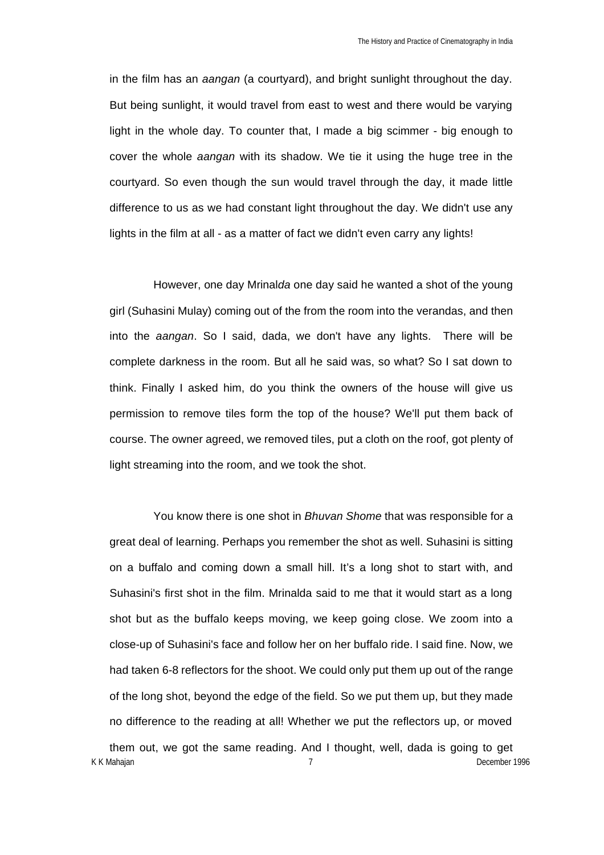in the film has an *aangan* (a courtyard), and bright sunlight throughout the day. But being sunlight, it would travel from east to west and there would be varying light in the whole day. To counter that, I made a big scimmer - big enough to cover the whole *aangan* with its shadow. We tie it using the huge tree in the courtyard. So even though the sun would travel through the day, it made little difference to us as we had constant light throughout the day. We didn't use any lights in the film at all - as a matter of fact we didn't even carry any lights!

However, one day Mrinal*da* one day said he wanted a shot of the young girl (Suhasini Mulay) coming out of the from the room into the verandas, and then into the *aangan*. So I said, dada, we don't have any lights. There will be complete darkness in the room. But all he said was, so what? So I sat down to think. Finally I asked him, do you think the owners of the house will give us permission to remove tiles form the top of the house? We'll put them back of course. The owner agreed, we removed tiles, put a cloth on the roof, got plenty of light streaming into the room, and we took the shot.

K K Mahajan 7 December 1996 You know there is one shot in *Bhuvan Shome* that was responsible for a great deal of learning. Perhaps you remember the shot as well. Suhasini is sitting on a buffalo and coming down a small hill. It's a long shot to start with, and Suhasini's first shot in the film. Mrinalda said to me that it would start as a long shot but as the buffalo keeps moving, we keep going close. We zoom into a close-up of Suhasini's face and follow her on her buffalo ride. I said fine. Now, we had taken 6-8 reflectors for the shoot. We could only put them up out of the range of the long shot, beyond the edge of the field. So we put them up, but they made no difference to the reading at all! Whether we put the reflectors up, or moved them out, we got the same reading. And I thought, well, dada is going to get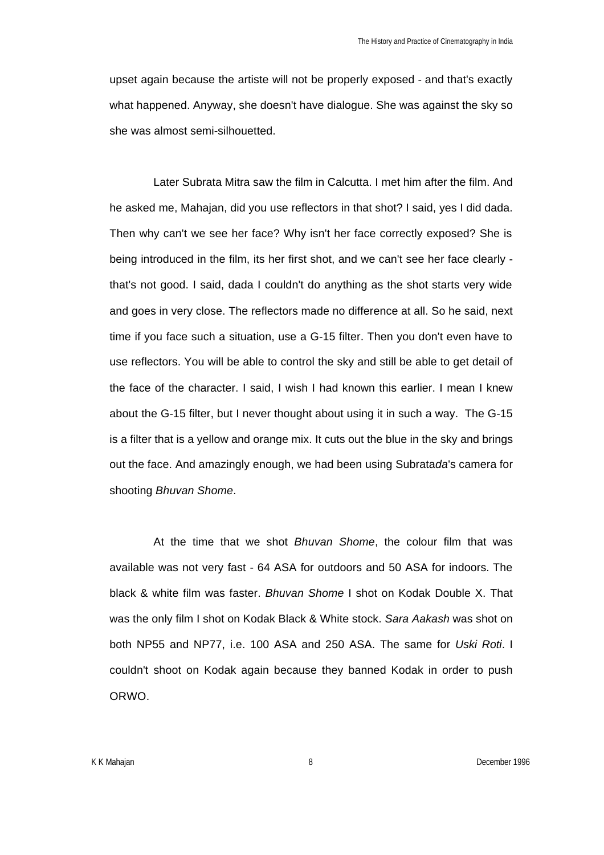upset again because the artiste will not be properly exposed - and that's exactly what happened. Anyway, she doesn't have dialogue. She was against the sky so she was almost semi-silhouetted.

Later Subrata Mitra saw the film in Calcutta. I met him after the film. And he asked me, Mahajan, did you use reflectors in that shot? I said, yes I did dada. Then why can't we see her face? Why isn't her face correctly exposed? She is being introduced in the film, its her first shot, and we can't see her face clearly that's not good. I said, dada I couldn't do anything as the shot starts very wide and goes in very close. The reflectors made no difference at all. So he said, next time if you face such a situation, use a G-15 filter. Then you don't even have to use reflectors. You will be able to control the sky and still be able to get detail of the face of the character. I said, I wish I had known this earlier. I mean I knew about the G-15 filter, but I never thought about using it in such a way. The G-15 is a filter that is a yellow and orange mix. It cuts out the blue in the sky and brings out the face. And amazingly enough, we had been using Subrata*da*'s camera for shooting *Bhuvan Shome*.

At the time that we shot *Bhuvan Shome*, the colour film that was available was not very fast - 64 ASA for outdoors and 50 ASA for indoors. The black & white film was faster. *Bhuvan Shome* I shot on Kodak Double X. That was the only film I shot on Kodak Black & White stock. *Sara Aakash* was shot on both NP55 and NP77, i.e. 100 ASA and 250 ASA. The same for *Uski Roti*. I couldn't shoot on Kodak again because they banned Kodak in order to push ORWO.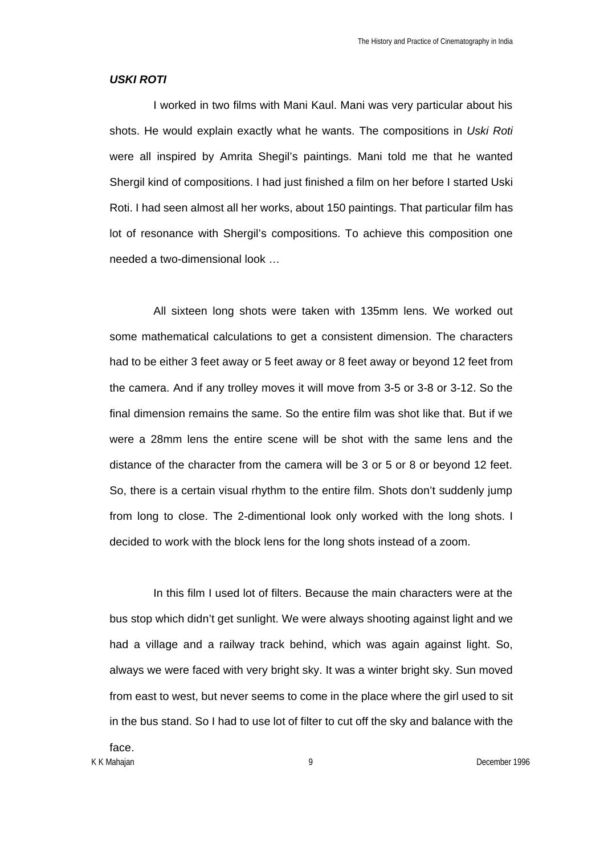#### *USKI ROTI*

I worked in two films with Mani Kaul. Mani was very particular about his shots. He would explain exactly what he wants. The compositions in *Uski Roti* were all inspired by Amrita Shegil's paintings. Mani told me that he wanted Shergil kind of compositions. I had just finished a film on her before I started Uski Roti. I had seen almost all her works, about 150 paintings. That particular film has lot of resonance with Shergil's compositions. To achieve this composition one needed a two-dimensional look …

All sixteen long shots were taken with 135mm lens. We worked out some mathematical calculations to get a consistent dimension. The characters had to be either 3 feet away or 5 feet away or 8 feet away or beyond 12 feet from the camera. And if any trolley moves it will move from 3-5 or 3-8 or 3-12. So the final dimension remains the same. So the entire film was shot like that. But if we were a 28mm lens the entire scene will be shot with the same lens and the distance of the character from the camera will be 3 or 5 or 8 or beyond 12 feet. So, there is a certain visual rhythm to the entire film. Shots don't suddenly jump from long to close. The 2-dimentional look only worked with the long shots. I decided to work with the block lens for the long shots instead of a zoom.

In this film I used lot of filters. Because the main characters were at the bus stop which didn't get sunlight. We were always shooting against light and we had a village and a railway track behind, which was again against light. So, always we were faced with very bright sky. It was a winter bright sky. Sun moved from east to west, but never seems to come in the place where the girl used to sit in the bus stand. So I had to use lot of filter to cut off the sky and balance with the

K K Mahajan 9 December 1996 face.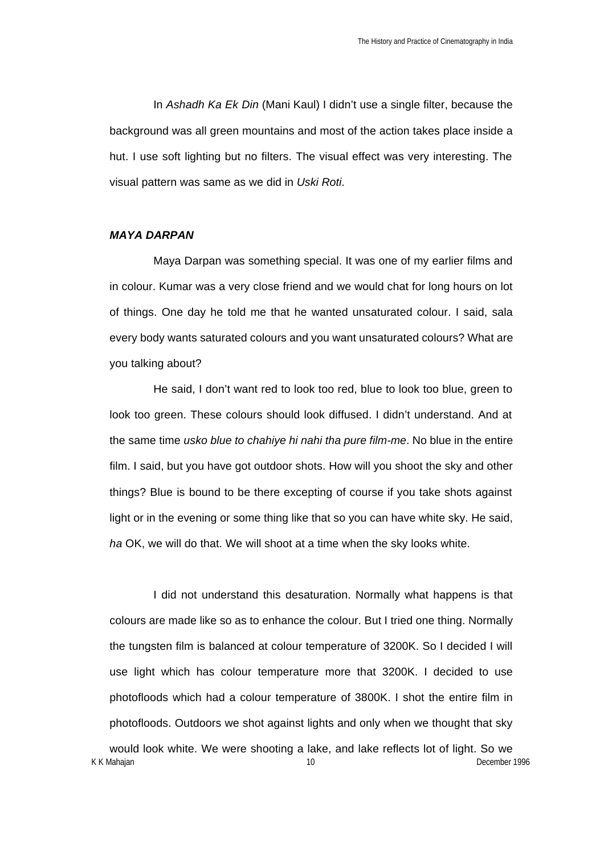In *Ashadh Ka Ek Din* (Mani Kaul) I didn't use a single filter, because the background was all green mountains and most of the action takes place inside a hut. I use soft lighting but no filters. The visual effect was very interesting. The visual pattern was same as we did in *Uski Roti*.

## *MAYA DARPAN*

Maya Darpan was something special. It was one of my earlier films and in colour. Kumar was a very close friend and we would chat for long hours on lot of things. One day he told me that he wanted unsaturated colour. I said, sala every body wants saturated colours and you want unsaturated colours? What are you talking about?

He said, I don't want red to look too red, blue to look too blue, green to look too green. These colours should look diffused. I didn't understand. And at the same time *usko blue to chahiye hi nahi tha pure film-me*. No blue in the entire film. I said, but you have got outdoor shots. How will you shoot the sky and other things? Blue is bound to be there excepting of course if you take shots against light or in the evening or some thing like that so you can have white sky. He said, *ha* OK, we will do that. We will shoot at a time when the sky looks white.

I did not understand this desaturation. Normally what happens is that colours are made like so as to enhance the colour. But I tried one thing. Normally the tungsten film is balanced at colour temperature of 3200K. So I decided I will use light which has colour temperature more that 3200K. I decided to use photofloods which had a colour temperature of 3800K. I shot the entire film in photofloods. Outdoors we shot against lights and only when we thought that sky would look white. We were shooting a lake, and lake reflects lot of light. So we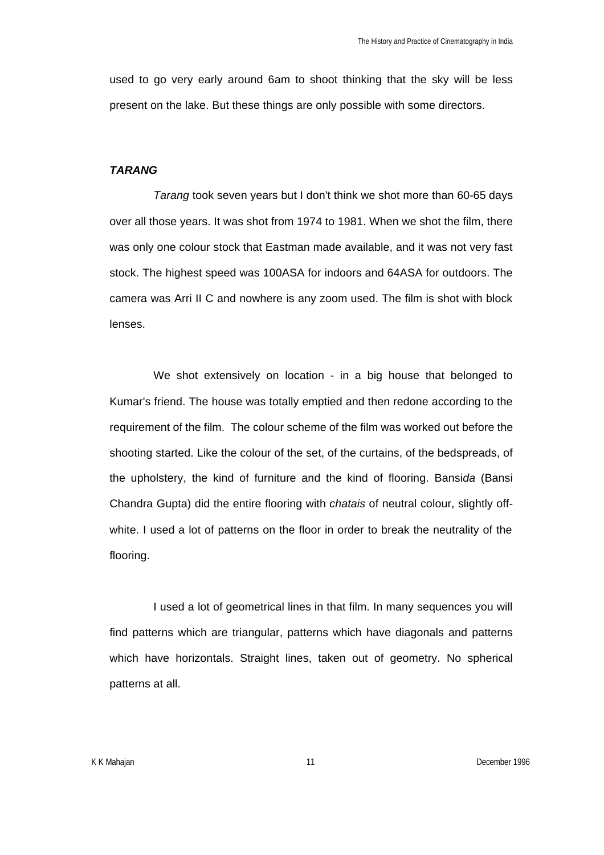used to go very early around 6am to shoot thinking that the sky will be less present on the lake. But these things are only possible with some directors.

### *TARANG*

*Tarang* took seven years but I don't think we shot more than 60-65 days over all those years. It was shot from 1974 to 1981. When we shot the film, there was only one colour stock that Eastman made available, and it was not very fast stock. The highest speed was 100ASA for indoors and 64ASA for outdoors. The camera was Arri II C and nowhere is any zoom used. The film is shot with block lenses.

We shot extensively on location - in a big house that belonged to Kumar's friend. The house was totally emptied and then redone according to the requirement of the film. The colour scheme of the film was worked out before the shooting started. Like the colour of the set, of the curtains, of the bedspreads, of the upholstery, the kind of furniture and the kind of flooring. Bansi*da* (Bansi Chandra Gupta) did the entire flooring with *chatais* of neutral colour, slightly offwhite. I used a lot of patterns on the floor in order to break the neutrality of the flooring.

I used a lot of geometrical lines in that film. In many sequences you will find patterns which are triangular, patterns which have diagonals and patterns which have horizontals. Straight lines, taken out of geometry. No spherical patterns at all.